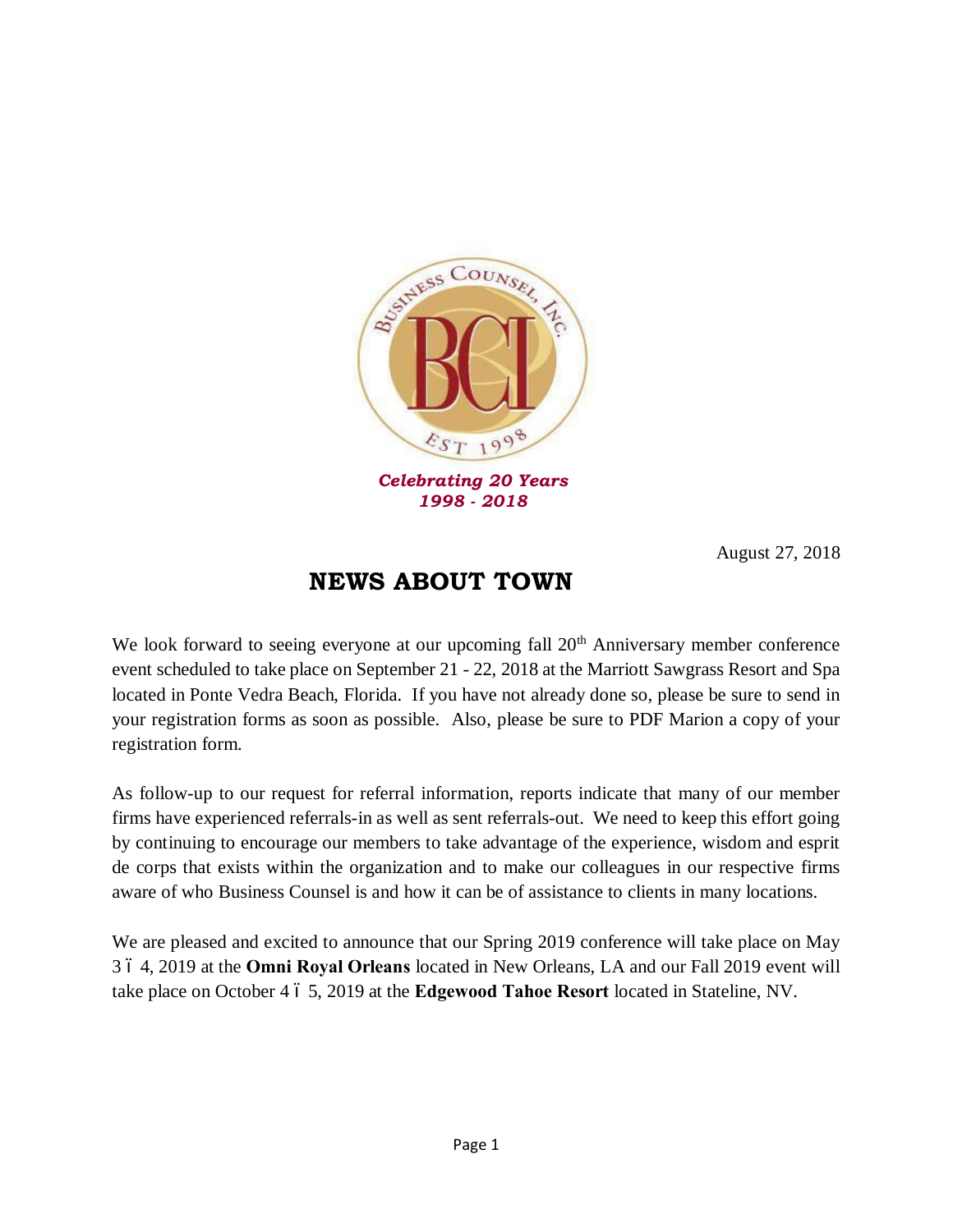

*1998 - 2018*

August 27, 2018

## **NEWS ABOUT TOWN**

We look forward to seeing everyone at our upcoming fall  $20<sup>th</sup>$  Anniversary member conference event scheduled to take place on September 21 - 22, 2018 at the Marriott Sawgrass Resort and Spa located in Ponte Vedra Beach, Florida. If you have not already done so, please be sure to send in your registration forms as soon as possible. Also, please be sure to PDF Marion a copy of your registration form.

As follow-up to our request for referral information, reports indicate that many of our member firms have experienced referrals-in as well as sent referrals-out. We need to keep this effort going by continuing to encourage our members to take advantage of the experience, wisdom and esprit de corps that exists within the organization and to make our colleagues in our respective firms aware of who Business Counsel is and how it can be of assistance to clients in many locations.

We are pleased and excited to announce that our Spring 2019 conference will take place on May 3 – 4, 2019 at the **Omni Royal Orleans** located in New Orleans, LA and our Fall 2019 event will take place on October 4  $\acute{o}$  5, 2019 at the **Edgewood Tahoe Resort** located in Stateline, NV.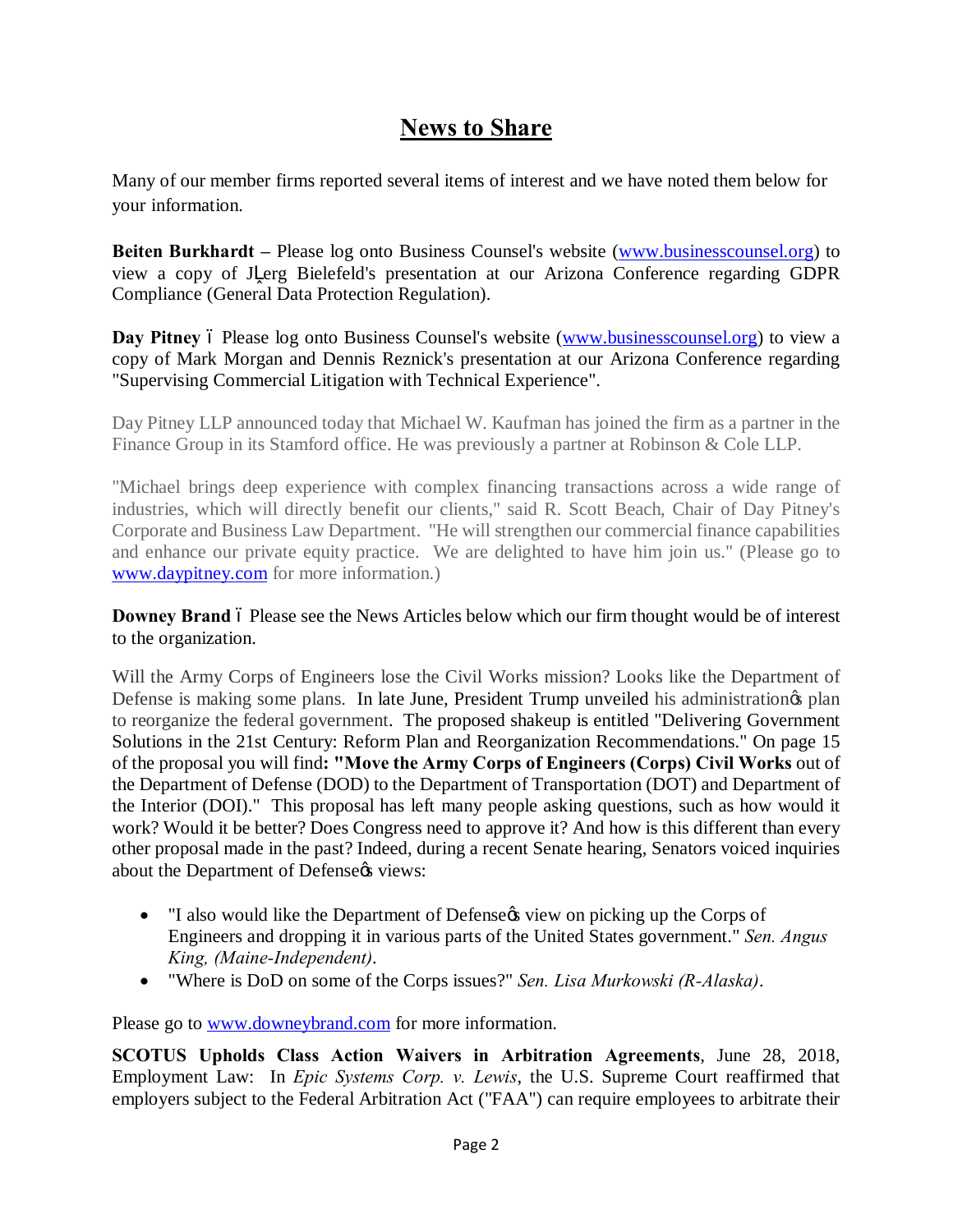# **News to Share**

Many of our member firms reported several items of interest and we have noted them below for your information.

**Beiten Burkhardt –** Please log onto Business Counsel's website [\(www.businesscounsel.org\)](http://www.businesscounsel.org/) to view a copy of J erg Bielefeld's presentation at our Arizona Conference regarding GDPR Compliance (General Data Protection Regulation).

Day Pitney 6 Please log onto Business Counsel's website ([www.businesscounsel.org\)](http://www.businesscounsel.org/) to view a copy of Mark Morgan and Dennis Reznick's presentation at our Arizona Conference regarding "Supervising Commercial Litigation with Technical Experience".

Day Pitney LLP announced today that Michael W. Kaufman has joined the firm as a partner in the Finance Group in its Stamford office. He was previously a partner at Robinson & Cole LLP.

"Michael brings deep experience with complex financing transactions across a wide range of industries, which will directly benefit our clients," said R. Scott Beach, Chair of Day Pitney's Corporate and Business Law Department. "He will strengthen our commercial finance capabilities and enhance our private equity practice. We are delighted to have him join us." (Please go to [www.daypitney.com](http://www.daypitney.com/) for more information.)

**Downey Brand**  $\acute{o}$  Please see the News Articles below which our firm thought would be of interest to the organization.

Will the Army Corps of Engineers lose the Civil Works mission? Looks like the Department of Defense is making some plans. In late June, President Trump unveiled his administration of plan to reorganize the federal government. The proposed shakeup is entitled "Delivering Government Solutions in the 21st Century: Reform Plan and Reorganization Recommendations." On page 15 of the proposal you will find**: "Move the Army Corps of Engineers (Corps) Civil Works** out of the Department of Defense (DOD) to the Department of Transportation (DOT) and Department of the Interior (DOI)." This proposal has left many people asking questions, such as how would it work? Would it be better? Does Congress need to approve it? And how is this different than every other proposal made in the past? Indeed, during a recent Senate hearing, Senators voiced inquiries about the Department of Defense $\alpha$ s views:

- "I also would like the Department of Defense *i*s view on picking up the Corps of Engineers and dropping it in various parts of the United States government." *Sen. Angus King, (Maine-Independent)*.
- · "Where is DoD on some of the Corps issues?" *Sen. Lisa Murkowski (R-Alaska)*.

Please go to [www.downeybrand.com](http://www.downeybrand.com/) for more information.

**SCOTUS Upholds Class Action Waivers in Arbitration Agreements**, June 28, 2018, Employment Law: In *Epic Systems Corp. v. Lewis*, the U.S. Supreme Court reaffirmed that employers subject to the Federal Arbitration Act ("FAA") can require employees to arbitrate their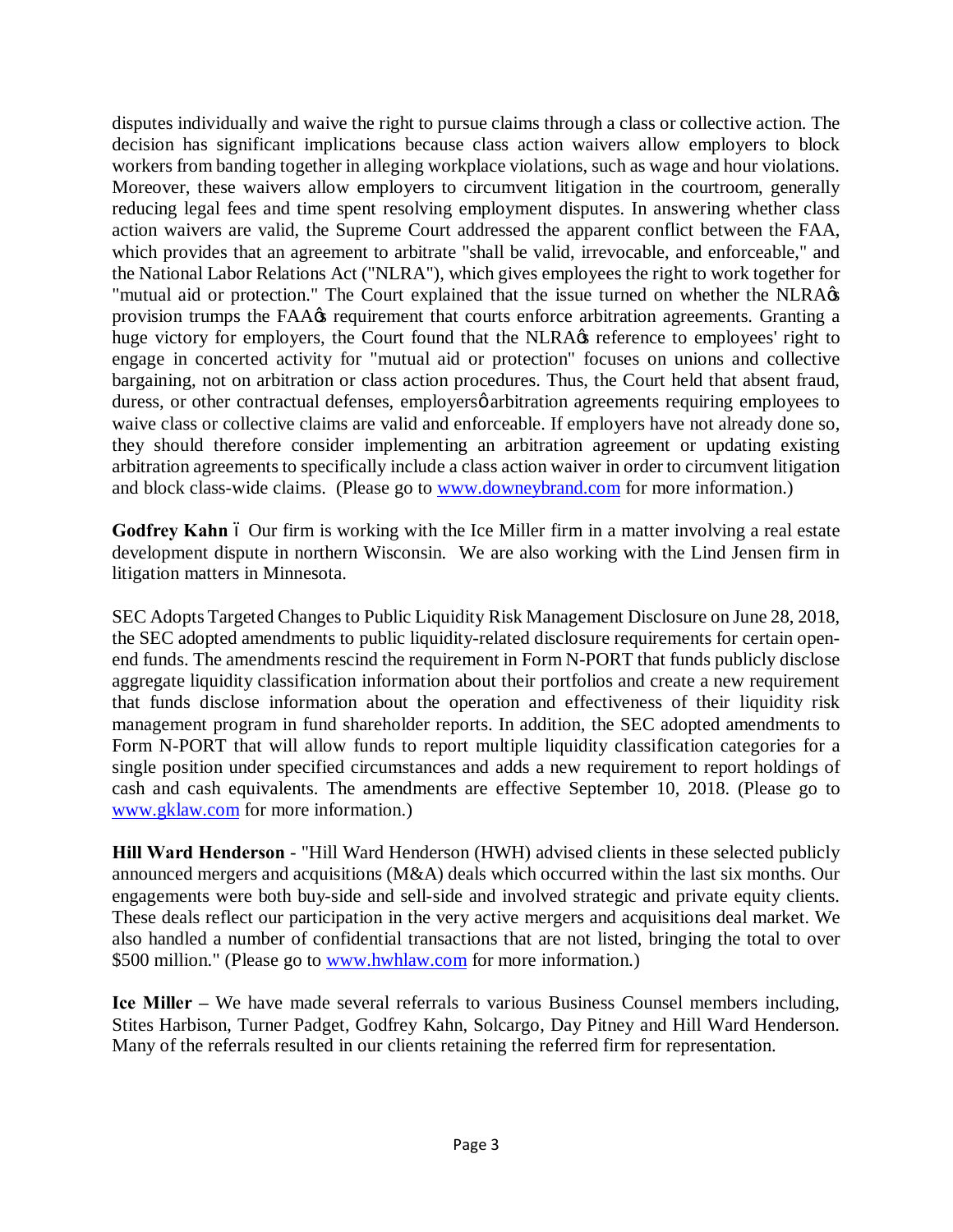disputes individually and waive the right to pursue claims through a class or collective action. The decision has significant implications because class action waivers allow employers to block workers from banding together in alleging workplace violations, such as wage and hour violations. Moreover, these waivers allow employers to circumvent litigation in the courtroom, generally reducing legal fees and time spent resolving employment disputes. In answering whether class action waivers are valid, the Supreme Court addressed the apparent conflict between the FAA, which provides that an agreement to arbitrate "shall be valid, irrevocable, and enforceable," and the National Labor Relations Act ("NLRA"), which gives employees the right to work together for "mutual aid or protection." The Court explained that the issue turned on whether the NLRA $\alpha$ provision trumps the FAA $\alpha$  requirement that courts enforce arbitration agreements. Granting a huge victory for employers, the Court found that the NLRA $\alpha$  reference to employees' right to engage in concerted activity for "mutual aid or protection" focuses on unions and collective bargaining, not on arbitration or class action procedures. Thus, the Court held that absent fraud, duress, or other contractual defenses, employers oarbitration agreements requiring employees to waive class or collective claims are valid and enforceable. If employers have not already done so, they should therefore consider implementing an arbitration agreement or updating existing arbitration agreements to specifically include a class action waiver in order to circumvent litigation and block class-wide claims. (Please go to [www.downeybrand.com](http://www.downeybrand.com/) for more information.)

Godfrey Kahn 6 Our firm is working with the Ice Miller firm in a matter involving a real estate development dispute in northern Wisconsin. We are also working with the Lind Jensen firm in litigation matters in Minnesota.

SEC Adopts Targeted Changes to Public Liquidity Risk Management Disclosure on June 28, 2018, the SEC adopted amendments to public liquidity-related disclosure requirements for certain openend funds. The amendments rescind the requirement in Form N-PORT that funds publicly disclose aggregate liquidity classification information about their portfolios and create a new requirement that funds disclose information about the operation and effectiveness of their liquidity risk management program in fund shareholder reports. In addition, the SEC adopted amendments to Form N-PORT that will allow funds to report multiple liquidity classification categories for a single position under specified circumstances and adds a new requirement to report holdings of cash and cash equivalents. The amendments are effective September 10, 2018. (Please go to [www.gklaw.com](http://www.gklaw.com/) for more information.)

**Hill Ward Henderson** - "Hill Ward Henderson (HWH) advised clients in these selected publicly announced mergers and acquisitions (M&A) deals which occurred within the last six months. Our engagements were both buy-side and sell-side and involved strategic and private equity clients. These deals reflect our participation in the very active mergers and acquisitions deal market. We also handled a number of confidential transactions that are not listed, bringing the total to over \$500 million." (Please go to [www.hwhlaw.com](http://www.hwhlaw.com/) for more information.)

**Ice Miller –** We have made several referrals to various Business Counsel members including, Stites Harbison, Turner Padget, Godfrey Kahn, Solcargo, Day Pitney and Hill Ward Henderson. Many of the referrals resulted in our clients retaining the referred firm for representation.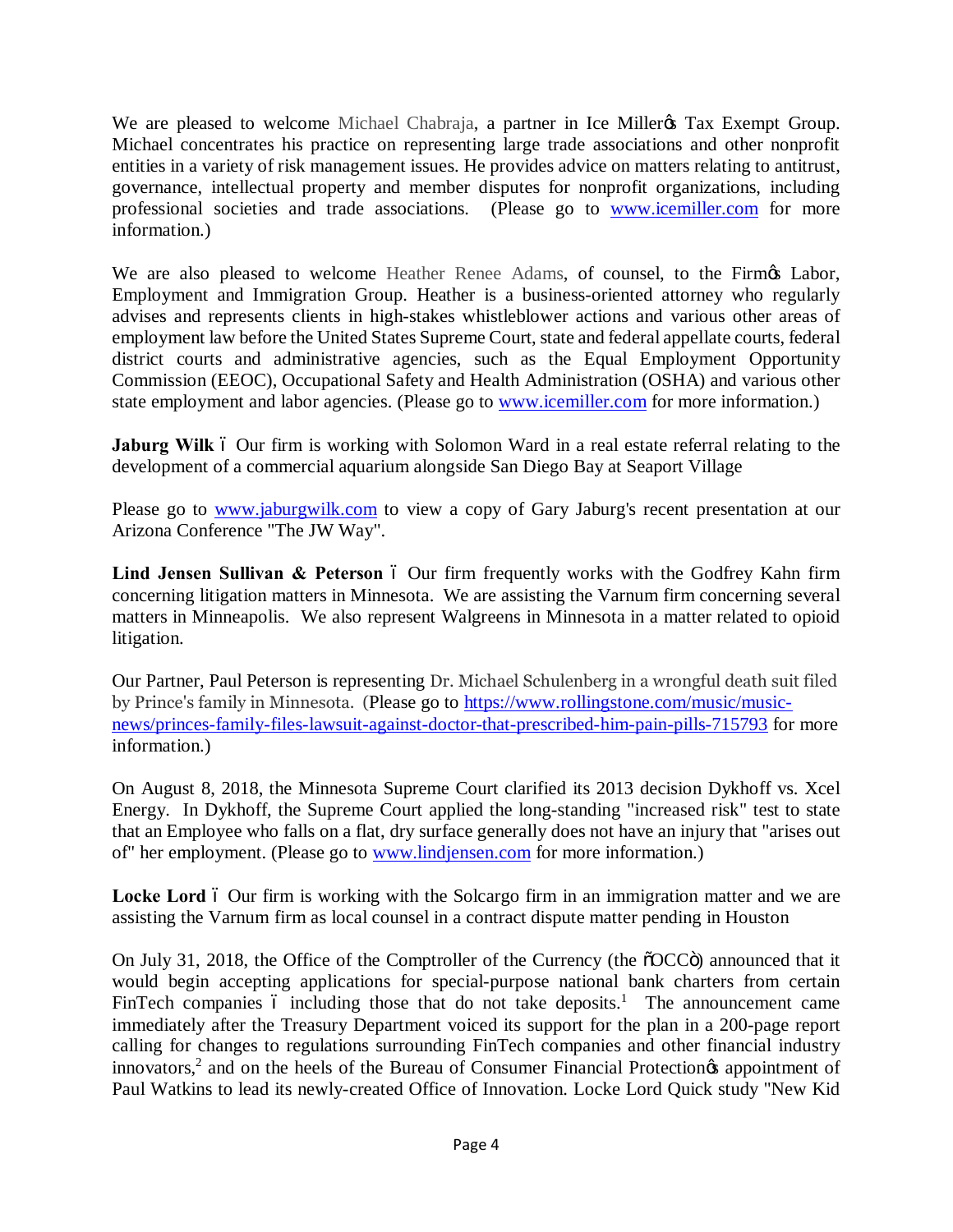We are pleased to welcome Michael Chabraja, a partner in Ice Miller & Tax Exempt Group. Michael concentrates his practice on representing large trade associations and other nonprofit entities in a variety of risk management issues. He provides advice on matters relating to antitrust, governance, intellectual property and member disputes for nonprofit organizations, including professional societies and trade associations. (Please go to [www.icemiller.com](http://www.icemiller.com/) for more information.)

We are also pleased to welcome Heather Renee Adams, of counsel, to the Firmos Labor, Employment and Immigration Group. Heather is a business-oriented attorney who regularly advises and represents clients in high-stakes whistleblower actions and various other areas of employment law before the United States Supreme Court, state and federal appellate courts, federal district courts and administrative agencies, such as the Equal Employment Opportunity Commission (EEOC), Occupational Safety and Health Administration (OSHA) and various other state employment and labor agencies. (Please go to [www.icemiller.com](http://www.icemiller.com/) for more information.)

**Jaburg Wilk** 6 Our firm is working with Solomon Ward in a real estate referral relating to the development of a commercial aquarium alongside San Diego Bay at Seaport Village

Please go to [www.jaburgwilk.com](http://www.jaburgwilk.com/) to view a copy of Gary Jaburg's recent presentation at our Arizona Conference "The JW Way".

**Lind Jensen Sullivan & Peterson** 6 Our firm frequently works with the Godfrey Kahn firm concerning litigation matters in Minnesota. We are assisting the Varnum firm concerning several matters in Minneapolis. We also represent Walgreens in Minnesota in a matter related to opioid litigation.

Our Partner, Paul Peterson is representing Dr. Michael Schulenberg in a wrongful death suit filed by Prince's family in Minnesota. (Please go to [https://www.rollingstone.com/music/music](https://www.rollingstone.com/music/music-news/princes-family-files-lawsuit-against-doctor-that-prescribed-him-pain-pills-715793)[news/princes-family-files-lawsuit-against-doctor-that-prescribed-him-pain-pills-715793](https://www.rollingstone.com/music/music-news/princes-family-files-lawsuit-against-doctor-that-prescribed-him-pain-pills-715793) for more information.)

On August 8, 2018, the Minnesota Supreme Court clarified its 2013 decision Dykhoff vs. Xcel Energy. In Dykhoff, the Supreme Court applied the long-standing "increased risk" test to state that an Employee who falls on a flat, dry surface generally does not have an injury that "arises out of" her employment. (Please go to [www.lindjensen.com](http://www.lindjensen.com/) for more information.)

**Locke Lord** 6 Our firm is working with the Solcargo firm in an immigration matter and we are assisting the Varnum firm as local counsel in a contract dispute matter pending in Houston

On July 31, 2018, the Office of the Comptroller of the Currency (the "OCC") announced that it would begin accepting applications for special-purpose national bank charters from certain FinTech companies 6 including those that do not take deposits.<sup>1</sup> The announcement came immediately after the Treasury Department voiced its support for the plan in a 200-page report calling for changes to regulations surrounding FinTech companies and other financial industry innovators,<sup>2</sup> and on the heels of the Bureau of Consumer Financial Protection<sub> $\alpha$ </sub> appointment of Paul Watkins to lead its newly-created Office of Innovation. Locke Lord Quick study "New Kid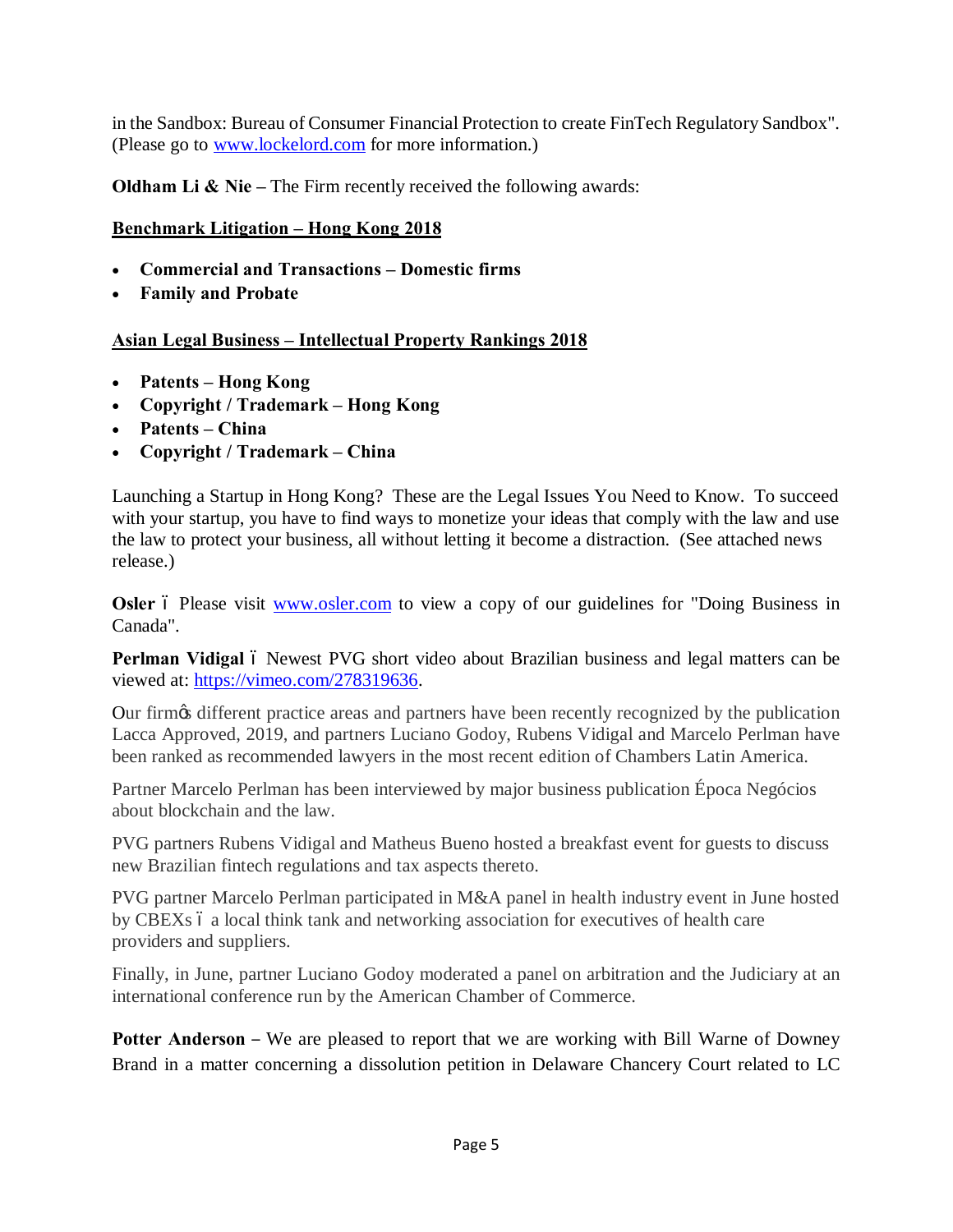in the Sandbox: Bureau of Consumer Financial Protection to create FinTech Regulatory Sandbox". (Please go to [www.lockelord.com](http://www.lockelord.com/) for more information.)

**Oldham Li & Nie – The Firm recently received the following awards:** 

### **Benchmark Litigation – Hong Kong 2018**

- · **Commercial and Transactions – Domestic firms**
- · **Family and Probate**

#### **Asian Legal Business – Intellectual Property Rankings 2018**

- · **Patents – Hong Kong**
- · **Copyright / Trademark – Hong Kong**
- · **Patents – China**
- · **Copyright / Trademark – China**

Launching a Startup in Hong Kong? These are the Legal Issues You Need to Know. To succeed with your startup, you have to find ways to monetize your ideas that comply with the law and use the law to protect your business, all without letting it become a distraction. (See attached news release.)

**Osler** 6 Please visit [www.osler.com](http://www.osler.com/) to view a copy of our guidelines for "Doing Business in Canada".

Perlman Vidigal 6 Newest PVG short video about Brazilian business and legal matters can be viewed at: [https://vimeo.com/278319636.](https://vimeo.com/278319636)

Our firm's different practice areas and partners have been recently recognized by the publication Lacca Approved, 2019, and partners Luciano Godoy, Rubens Vidigal and Marcelo Perlman have been ranked as recommended lawyers in the most recent edition of Chambers Latin America.

Partner Marcelo Perlman has been interviewed by major business publication Época Negócios about blockchain and the law.

PVG partners Rubens Vidigal and Matheus Bueno hosted a breakfast event for guests to discuss new Brazilian fintech regulations and tax aspects thereto.

PVG partner Marcelo Perlman participated in M&A panel in health industry event in June hosted by CBEXs 6 a local think tank and networking association for executives of health care providers and suppliers.

Finally, in June, partner Luciano Godoy moderated a panel on arbitration and the Judiciary at an international conference run by the American Chamber of Commerce.

**Potter Anderson** – We are pleased to report that we are working with Bill Warne of Downey Brand in a matter concerning a dissolution petition in Delaware Chancery Court related to LC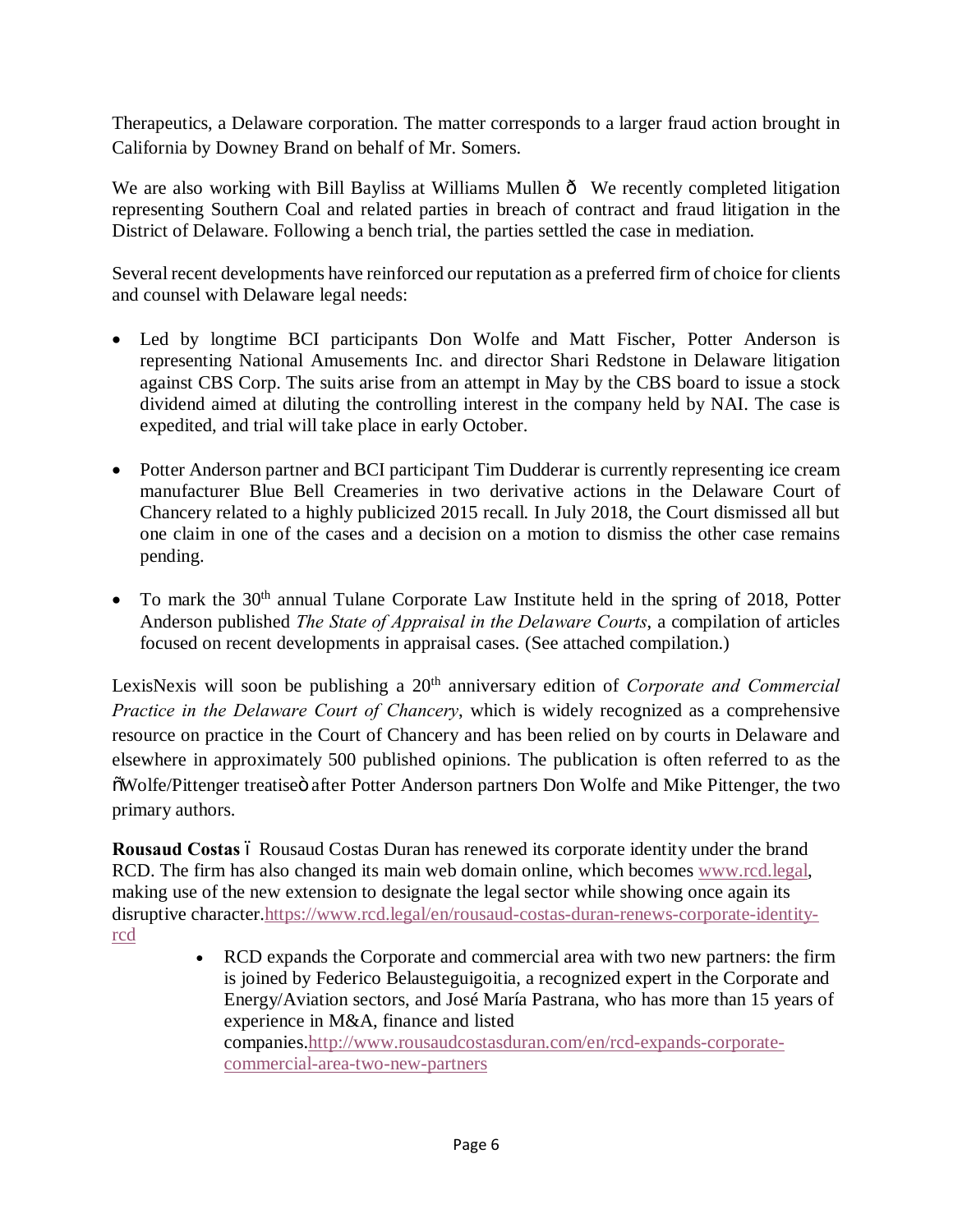Therapeutics, a Delaware corporation. The matter corresponds to a larger fraud action brought in California by Downey Brand on behalf of Mr. Somers.

We are also working with Bill Bayliss at Williams Mullen  $\hat{o}$  We recently completed litigation representing Southern Coal and related parties in breach of contract and fraud litigation in the District of Delaware. Following a bench trial, the parties settled the case in mediation.

Several recent developments have reinforced our reputation as a preferred firm of choice for clients and counsel with Delaware legal needs:

- Led by longtime BCI participants Don Wolfe and Matt Fischer, Potter Anderson is representing National Amusements Inc. and director Shari Redstone in Delaware litigation against CBS Corp. The suits arise from an attempt in May by the CBS board to issue a stock dividend aimed at diluting the controlling interest in the company held by NAI. The case is expedited, and trial will take place in early October.
- Potter Anderson partner and BCI participant Tim Dudderar is currently representing ice cream manufacturer Blue Bell Creameries in two derivative actions in the Delaware Court of Chancery related to a highly publicized 2015 recall. In July 2018, the Court dismissed all but one claim in one of the cases and a decision on a motion to dismiss the other case remains pending.
- To mark the  $30<sup>th</sup>$  annual Tulane Corporate Law Institute held in the spring of 2018, Potter Anderson published *The State of Appraisal in the Delaware Courts*, a compilation of articles focused on recent developments in appraisal cases. (See attached compilation.)

LexisNexis will soon be publishing a 20<sup>th</sup> anniversary edition of *Corporate and Commercial Practice in the Delaware Court of Chancery*, which is widely recognized as a comprehensive resource on practice in the Court of Chancery and has been relied on by courts in Delaware and elsewhere in approximately 500 published opinions. The publication is often referred to as the  $\ddot{\text{o}}$ Wolfe/Pittenger treatiseö after Potter Anderson partners Don Wolfe and Mike Pittenger, the two primary authors.

**Rousaud Costas** 6 Rousaud Costas Duran has renewed its corporate identity under the brand RCD. The firm has also changed its main web domain online, which becomes [www.rcd.legal,](http://www.rcd.legal/) making use of the new extension to designate the legal sector while showing once again its disruptive character[.https://www.rcd.legal/en/rousaud-costas-duran-renews-corporate-identity](https://www.rcd.legal/en/rousaud-costas-duran-renews-corporate-identity-rcd)[rcd](https://www.rcd.legal/en/rousaud-costas-duran-renews-corporate-identity-rcd)

· RCD expands the Corporate and commercial area with two new partners: the firm is joined by Federico Belausteguigoitia, a recognized expert in the Corporate and Energy/Aviation sectors, and José María Pastrana, who has more than 15 years of experience in M&A, finance and listed companies.[http://www.rousaudcostasduran.com/en/rcd-expands-corporate](http://www.rousaudcostasduran.com/en/rcd-expands-corporate-commercial-area-two-new-partners)[commercial-area-two-new-partners](http://www.rousaudcostasduran.com/en/rcd-expands-corporate-commercial-area-two-new-partners)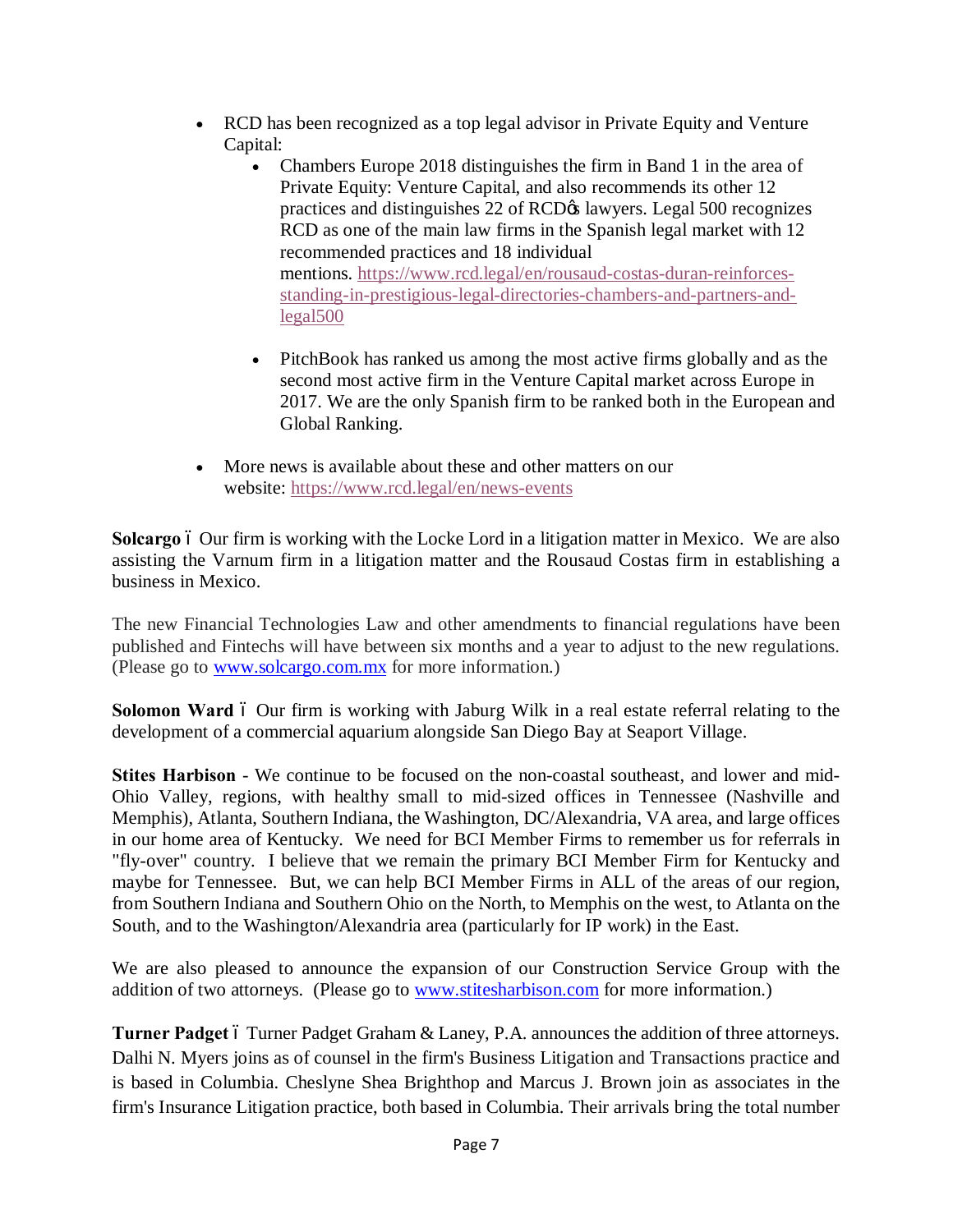- · RCD has been recognized as a top legal advisor in Private Equity and Venture Capital:
	- Chambers Europe 2018 distinguishes the firm in Band 1 in the area of Private Equity: Venture Capital, and also recommends its other 12 practices and distinguishes 22 of RCD $\alpha$  lawyers. Legal 500 recognizes RCD as one of the main law firms in the Spanish legal market with 12 recommended practices and 18 individual mentions. [https://www.rcd.legal/en/rousaud-costas-duran-reinforces](https://www.rcd.legal/en/rousaud-costas-duran-reinforces-standing-in-prestigious-legal-directories-chambers-and-partners-and-legal500)[standing-in-prestigious-legal-directories-chambers-and-partners-and](https://www.rcd.legal/en/rousaud-costas-duran-reinforces-standing-in-prestigious-legal-directories-chambers-and-partners-and-legal500)[legal500](https://www.rcd.legal/en/rousaud-costas-duran-reinforces-standing-in-prestigious-legal-directories-chambers-and-partners-and-legal500)
	- · PitchBook has ranked us among the most active firms globally and as the second most active firm in the Venture Capital market across Europe in 2017. We are the only Spanish firm to be ranked both in the European and Global Ranking.
- More news is available about these and other matters on our website: <https://www.rcd.legal/en/news-events>

**Solcargo** 6 Our firm is working with the Locke Lord in a litigation matter in Mexico. We are also assisting the Varnum firm in a litigation matter and the Rousaud Costas firm in establishing a business in Mexico.

The new Financial Technologies Law and other amendments to financial regulations have been published and Fintechs will have between six months and a year to adjust to the new regulations. (Please go to [www.solcargo.com.mx](http://www.solcargo.com.mx/) for more information.)

**Solomon Ward** 6 Our firm is working with Jaburg Wilk in a real estate referral relating to the development of a commercial aquarium alongside San Diego Bay at Seaport Village.

**Stites Harbison** - We continue to be focused on the non-coastal southeast, and lower and mid-Ohio Valley, regions, with healthy small to mid-sized offices in Tennessee (Nashville and Memphis), Atlanta, Southern Indiana, the Washington, DC/Alexandria, VA area, and large offices in our home area of Kentucky. We need for BCI Member Firms to remember us for referrals in "fly-over" country. I believe that we remain the primary BCI Member Firm for Kentucky and maybe for Tennessee. But, we can help BCI Member Firms in ALL of the areas of our region, from Southern Indiana and Southern Ohio on the North, to Memphis on the west, to Atlanta on the South, and to the Washington/Alexandria area (particularly for IP work) in the East.

We are also pleased to announce the expansion of our Construction Service Group with the addition of two attorneys. (Please go to **www.stitesharbison.com** for more information.)

**Turner Padget** 6 Turner Padget Graham & Laney, P.A. announces the addition of three attorneys. Dalhi N. Myers joins as of counsel in the firm's Business Litigation and Transactions practice and is based in Columbia. Cheslyne Shea Brighthop and Marcus J. Brown join as associates in the firm's Insurance Litigation practice, both based in Columbia. Their arrivals bring the total number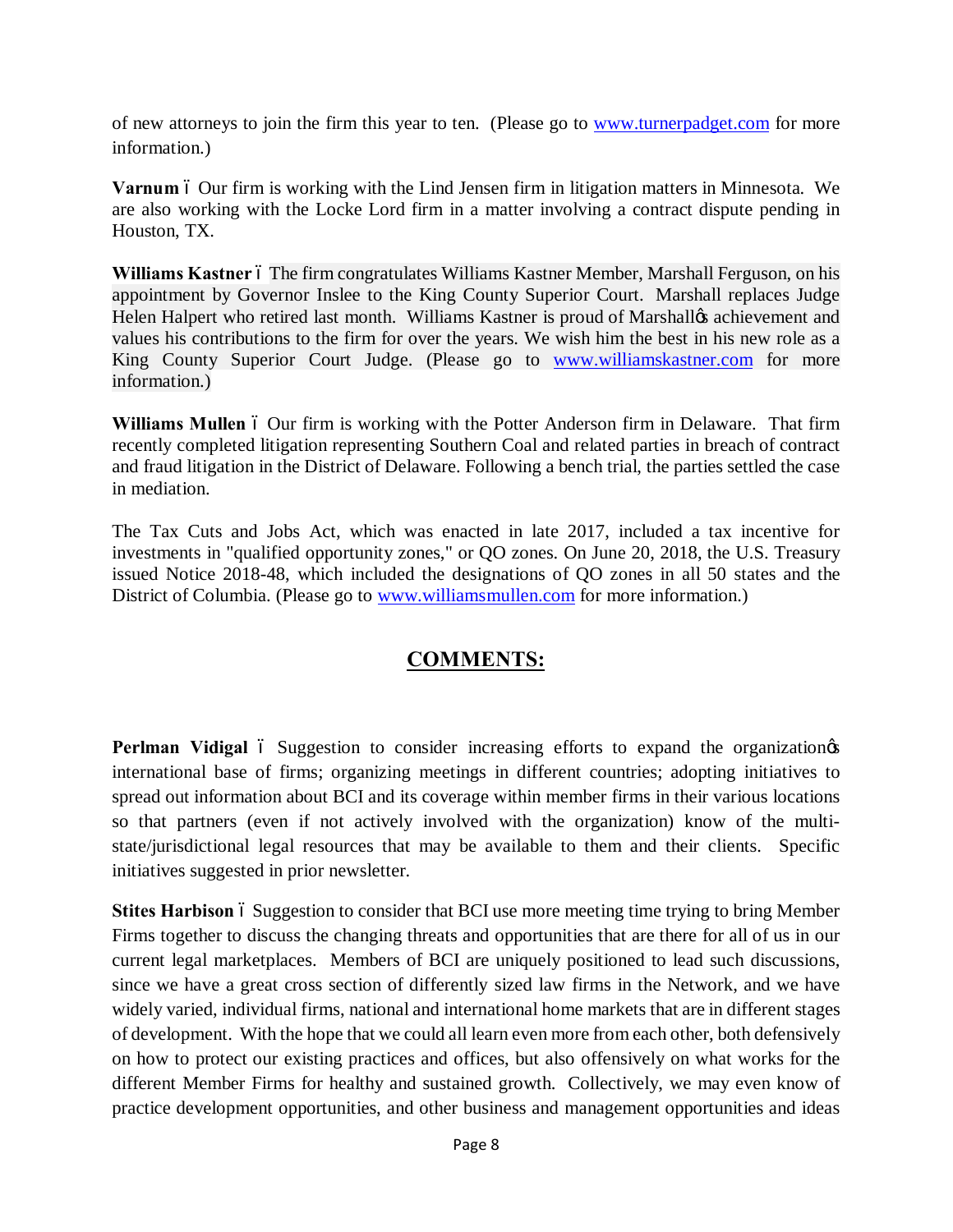of new attorneys to join the firm this year to ten. (Please go to [www.turnerpadget.com](http://www.turnerpadget.com/) for more information.)

Varnum 6 Our firm is working with the Lind Jensen firm in litigation matters in Minnesota. We are also working with the Locke Lord firm in a matter involving a contract dispute pending in Houston, TX.

Williams Kastner 6 The firm congratulates Williams Kastner Member, Marshall Ferguson, on his appointment by Governor Inslee to the King County Superior Court. Marshall replaces Judge Helen Halpert who retired last month. Williams Kastner is proud of Marshalløs achievement and values his contributions to the firm for over the years. We wish him the best in his new role as a King County Superior Court Judge. (Please go to [www.williamskastner.com](http://www.williamskastner.com/) for more information.)

**Williams Mullen** 6 Our firm is working with the Potter Anderson firm in Delaware. That firm recently completed litigation representing Southern Coal and related parties in breach of contract and fraud litigation in the District of Delaware. Following a bench trial, the parties settled the case in mediation.

The Tax Cuts and Jobs Act, which was enacted in late 2017, included a tax incentive for investments in "qualified opportunity zones," or QO zones. On June 20, 2018, the U.S. Treasury issued Notice 2018-48, which included the designations of QO zones in all 50 states and the District of Columbia. (Please go to [www.williamsmullen.com](http://www.williamsmullen.com/) for more information.)

### **COMMENTS:**

**Perlman Vidigal** 6 Suggestion to consider increasing efforts to expand the organization international base of firms; organizing meetings in different countries; adopting initiatives to spread out information about BCI and its coverage within member firms in their various locations so that partners (even if not actively involved with the organization) know of the multistate/jurisdictional legal resources that may be available to them and their clients. Specific initiatives suggested in prior newsletter.

Stites Harbison 6 Suggestion to consider that BCI use more meeting time trying to bring Member Firms together to discuss the changing threats and opportunities that are there for all of us in our current legal marketplaces. Members of BCI are uniquely positioned to lead such discussions, since we have a great cross section of differently sized law firms in the Network, and we have widely varied, individual firms, national and international home markets that are in different stages of development. With the hope that we could all learn even more from each other, both defensively on how to protect our existing practices and offices, but also offensively on what works for the different Member Firms for healthy and sustained growth. Collectively, we may even know of practice development opportunities, and other business and management opportunities and ideas